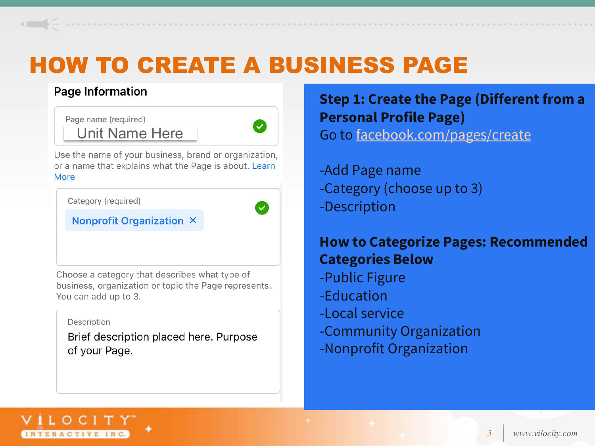### Page Information

Page name (required) Unit Name Here



Use the name of your business, brand or organization, or a name that explains what the Page is about. Learn More

Category (required)

#### **Nonprofit Organization X**

Choose a category that describes what type of business, organization or topic the Page represents. You can add up to 3.

#### Description

Brief description placed here. Purpose of your Page.

**Step 1: Create the Page (Different from a Personal Profile Page)** Go to [facebook.com/pages/create](https://www.facebook.com/pages/create)

-Add Page name -Category (choose up to 3) -Description

### **How to Categorize Pages: Recommended Categories Below**

- -Public Figure
- -Education
- -Local service
- -Community Organization
- -Nonprofit Organization

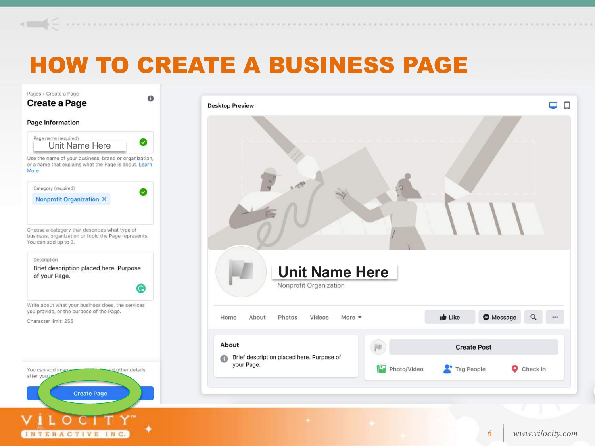#### Pages > Create a Page  $\Omega$ **Create a Page Desktop Preview** Page Information Page name (required) Ø Unit Name Here Use the name of your business, brand or organization, or a name that explains what the Page is about. Learn More Category (required)  $\bullet$ **Nonprofit Organization X** Choose a category that describes what type of business, organization or topic the Page represents. You can add up to 3. Description Brief description placed here. Purpose **Unit Name Here**of your Page. Nonprofit Organization G Write about what your business does, the services you provide, or the purpose of the Page. Home About Photos Videos More  $\bullet$ **ID** Like **O** Message  $\alpha$ Character limit: 255 About **Create Post** Brief description placed here. Purpose of **CRA** your Page. Tag People Photo/Video Check in You can add image d other details after you **Create Page** *6 www.vilocity.com* INTERACTIVE INC.

 $\cdots$ 

 $\Box$ 

 $\Box$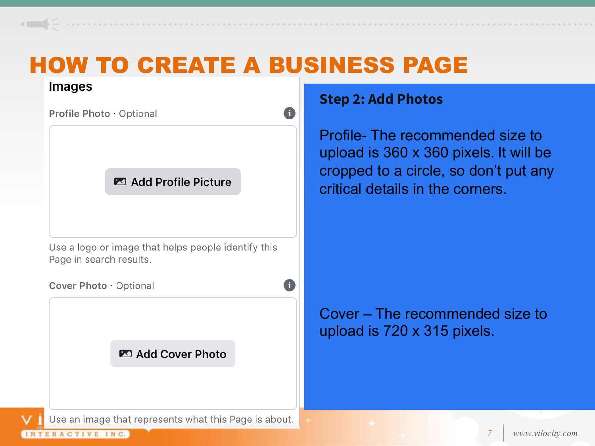

**Step 2: Add Photos**

Profile- The recommended size to upload is 360 x 360 pixels. It will be cropped to a circle, so don't put any critical details in the corners.

### Cover – The recommended size to upload is 720 x 315 pixels.

TERACTIVE INC.

Use an image that represents what this Page is about.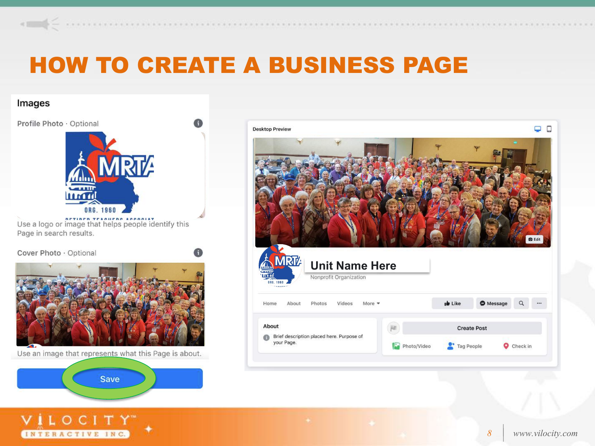#### Images



Use an image that represents what this Page is about.



VILOCITY" INTERACTIVE INC.

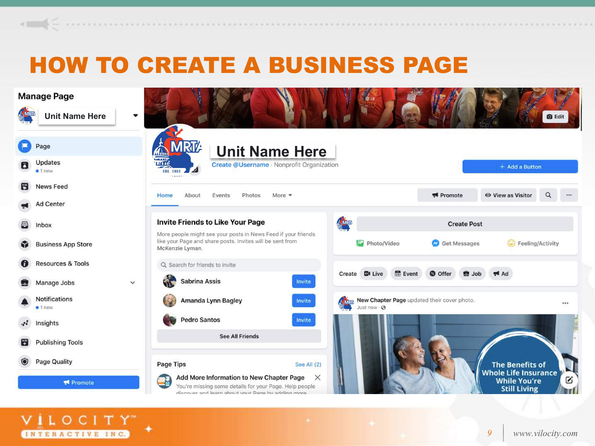

VILOCITY" INTERACTIVE INC.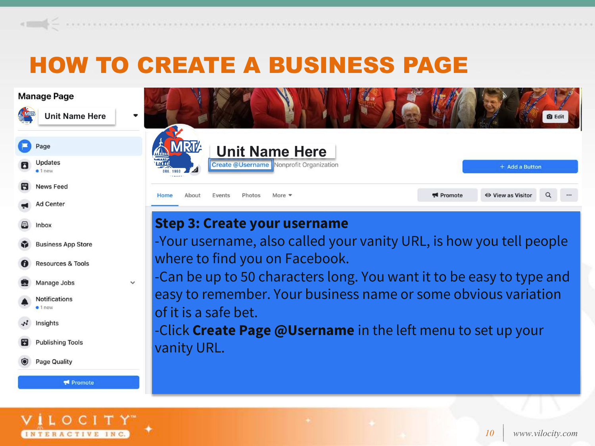